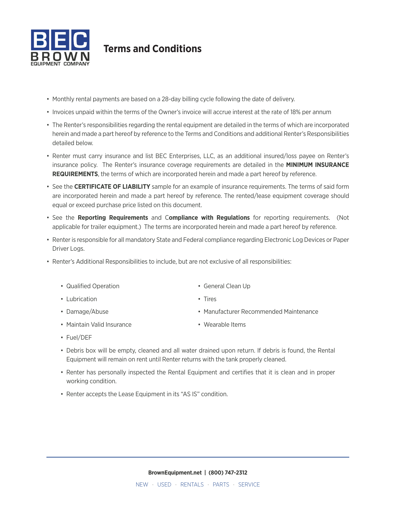

# **Terms and Conditions**

- Monthly rental payments are based on a 28-day billing cycle following the date of delivery.
- Invoices unpaid within the terms of the Owner's invoice will accrue interest at the rate of 18% per annum
- The Renter's responsibilities regarding the rental equipment are detailed in the terms of which are incorporated herein and made a part hereof by reference to the Terms and Conditions and additional Renter's Responsibilities detailed below.
- Renter must carry insurance and list BEC Enterprises, LLC, as an additional insured/loss payee on Renter's insurance policy. The Renter's insurance coverage requirements are detailed in the **MINIMUM INSURANCE REQUIREMENTS**, the terms of which are incorporated herein and made a part hereof by reference.
- See the **CERTIFICATE OF LIABILITY** sample for an example of insurance requirements. The terms of said form are incorporated herein and made a part hereof by reference. The rented/lease equipment coverage should equal or exceed purchase price listed on this document.
- See the **Reporting Requirements** and C**ompliance with Regulations** for reporting requirements. (Not applicable for trailer equipment.) The terms are incorporated herein and made a part hereof by reference.
- Renter is responsible for all mandatory State and Federal compliance regarding Electronic Log Devices or Paper Driver Logs.
- Renter's Additional Responsibilities to include, but are not exclusive of all responsibilities:
	- Qualified Operation
	- Lubrication

- Damage/Abuse
- Maintain Valid Insurance
- Manufacturer Recommended Maintenance
- Wearable Items

• Tires

• General Clean Up

- Fuel/DEF
- Debris box will be empty, cleaned and all water drained upon return. If debris is found, the Rental Equipment will remain on rent until Renter returns with the tank properly cleaned.
- Renter has personally inspected the Rental Equipment and certifies that it is clean and in proper working condition.
- Renter accepts the Lease Equipment in its "AS IS" condition.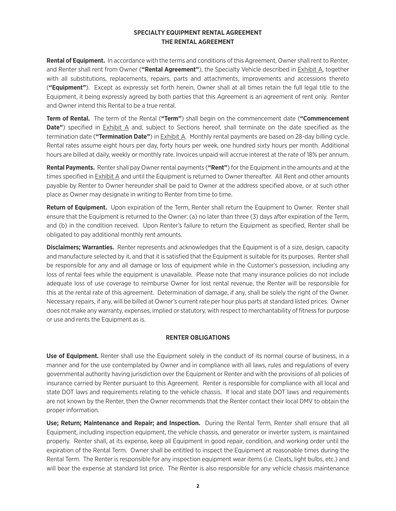## **SPECIALTY EQUIPMENT RENTAL AGREEMENT THE RENTAL AGREEMENT**

**Rental of Equipment.** In accordance with the terms and conditions of this Agreement, Owner shall rent to Renter, and Renter shall rent from Owner (**"Rental Agreement"**), the Specialty Vehicle described in Exhibit A, together with all substitutions, replacements, repairs, parts and attachments, improvements and accessions thereto (**"Equipment"**). Except as expressly set forth herein, Owner shall at all times retain the full legal title to the Equipment, it being expressly agreed by both parties that this Agreement is an agreement of rent only. Renter and Owner intend this Rental to be a true rental.

**Term of Rental.** The term of the Rental (**"Term"**) shall begin on the commencement date (**"Commencement Date"**) specified in **Exhibit A** and, subject to Sections hereof, shall terminate on the date specified as the termination date (**"Termination Date"**) in Exhibit A. Monthly rental payments are based on 28-day billing cycle. Rental rates assume eight hours per day, forty hours per week, one hundred sixty hours per month. Additional hours are billed at daily, weekly or monthly rate. Invoices unpaid will accrue interest at the rate of 18% per annum.

**Rental Payments.** Renter shall pay Owner rental payments (**"Rent"**) for the Equipment in the amounts and at the times specified in **Exhibit A** and until the Equipment is returned to Owner thereafter. All Rent and other amounts payable by Renter to Owner hereunder shall be paid to Owner at the address specified above, or at such other place as Owner may designate in writing to Renter from time to time.

**Return of Equipment.** Upon expiration of the Term, Renter shall return the Equipment to Owner. Renter shall ensure that the Equipment is returned to the Owner: (a) no later than three (3) days after expiration of the Term, and (b) in the condition received. Upon Renter's failure to return the Equipment as specified, Renter shall be obligated to pay additional monthly rent amounts.

**Disclaimers; Warranties.** Renter represents and acknowledges that the Equipment is of a size, design, capacity and manufacture selected by it, and that it is satisfied that the Equipment is suitable for its purposes. Renter shall be responsible for any and all damage or loss of equipment while in the Customer's possession, including any loss of rental fees while the equipment is unavailable. Please note that many insurance policies do not include adequate loss of use coverage to reimburse Owner for lost rental revenue, the Renter will be responsible for this at the rental rate of this agreement. Determination of damage, if any, shall be solely the right of the Owner. Necessary repairs, if any, will be billed at Owner's current rate per hour plus parts at standard listed prices. Owner does not make any warranty, expenses, implied or statutory, with respect to merchantability of fitness for purpose or use and rents the Equipment as is.

## **RENTER OBLIGATIONS**

**Use of Equipment.** Renter shall use the Equipment solely in the conduct of its normal course of business, in a manner and for the use contemplated by Owner and in compliance with all laws, rules and regulations of every governmental authority having jurisdiction over the Equipment or Renter and with the provisions of all policies of insurance carried by Renter pursuant to this Agreement. Renter is responsible for compliance with all local and state DOT laws and requirements relating to the vehicle chassis. If local and state DOT laws and requirements are not known by the Renter, then the Owner recommends that the Renter contact their local DMV to obtain the proper information.

**Use; Return; Maintenance and Repair; and Inspection.** During the Rental Term, Renter shall ensure that all Equipment, including inspection equipment, the vehicle chassis, and generator or inverter system, is maintained properly. Renter shall, at its expense, keep all Equipment in good repair, condition, and working order until the expiration of the Rental Term. Owner shall be entitled to inspect the Equipment at reasonable times during the Rental Term. The Renter is responsible for any inspection equipment wear items (i.e. Cleats, light bulbs, etc.) and will bear the expense at standard list price. The Renter is also responsible for any vehicle chassis maintenance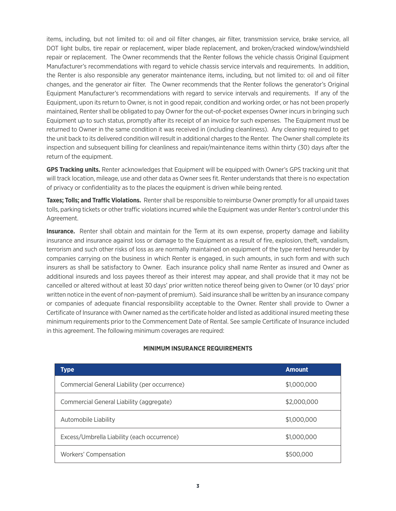items, including, but not limited to: oil and oil filter changes, air filter, transmission service, brake service, all DOT light bulbs, tire repair or replacement, wiper blade replacement, and broken/cracked window/windshield repair or replacement. The Owner recommends that the Renter follows the vehicle chassis Original Equipment Manufacturer's recommendations with regard to vehicle chassis service intervals and requirements. In addition, the Renter is also responsible any generator maintenance items, including, but not limited to: oil and oil filter changes, and the generator air filter. The Owner recommends that the Renter follows the generator's Original Equipment Manufacturer's recommendations with regard to service intervals and requirements. If any of the Equipment, upon its return to Owner, is not in good repair, condition and working order, or has not been properly maintained, Renter shall be obligated to pay Owner for the out-of-pocket expenses Owner incurs in bringing such Equipment up to such status, promptly after its receipt of an invoice for such expenses. The Equipment must be returned to Owner in the same condition it was received in (including cleanliness). Any cleaning required to get the unit back to its delivered condition will result in additional charges to the Renter. The Owner shall complete its inspection and subsequent billing for cleanliness and repair/maintenance items within thirty (30) days after the return of the equipment.

**GPS Tracking units.** Renter acknowledges that Equipment will be equipped with Owner's GPS tracking unit that will track location, mileage, use and other data as Owner sees fit. Renter understands that there is no expectation of privacy or confidentiality as to the places the equipment is driven while being rented.

**Taxes; Tolls; and Traffic Violations.** Renter shall be responsible to reimburse Owner promptly for all unpaid taxes tolls, parking tickets or other traffic violations incurred while the Equipment was under Renter's control under this Agreement.

**Insurance.** Renter shall obtain and maintain for the Term at its own expense, property damage and liability insurance and insurance against loss or damage to the Equipment as a result of fire, explosion, theft, vandalism, terrorism and such other risks of loss as are normally maintained on equipment of the type rented hereunder by companies carrying on the business in which Renter is engaged, in such amounts, in such form and with such insurers as shall be satisfactory to Owner. Each insurance policy shall name Renter as insured and Owner as additional insureds and loss payees thereof as their interest may appear, and shall provide that it may not be cancelled or altered without at least 30 days' prior written notice thereof being given to Owner (or 10 days' prior written notice in the event of non-payment of premium). Said insurance shall be written by an insurance company or companies of adequate financial responsibility acceptable to the Owner. Renter shall provide to Owner a Certificate of Insurance with Owner named as the certificate holder and listed as additional insured meeting these minimum requirements prior to the Commencement Date of Rental. See sample Certificate of Insurance included in this agreement. The following minimum coverages are required:

| Type                                          | <b>Amount</b> |
|-----------------------------------------------|---------------|
| Commercial General Liability (per occurrence) | \$1,000,000   |
| Commercial General Liability (aggregate)      | \$2,000,000   |
| Automobile Liability                          | \$1,000,000   |
| Excess/Umbrella Liability (each occurrence)   | \$1,000,000   |
| Workers' Compensation                         | \$500,000     |

## **MINIMUM INSURANCE REQUIREMENTS**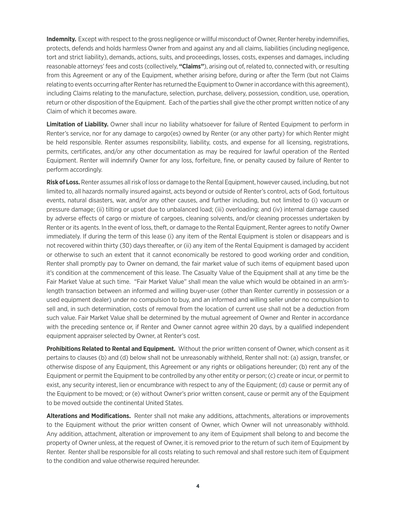**Indemnity.** Except with respect to the gross negligence or willful misconduct of Owner, Renter hereby indemnifies, protects, defends and holds harmless Owner from and against any and all claims, liabilities (including negligence, tort and strict liability), demands, actions, suits, and proceedings, losses, costs, expenses and damages, including reasonable attorneys' fees and costs (collectively, **"Claims"**), arising out of, related to, connected with, or resulting from this Agreement or any of the Equipment, whether arising before, during or after the Term (but not Claims relating to events occurring after Renter has returned the Equipment to Owner in accordance with this agreement), including Claims relating to the manufacture, selection, purchase, delivery, possession, condition, use, operation, return or other disposition of the Equipment. Each of the parties shall give the other prompt written notice of any Claim of which it becomes aware.

**Limitation of Liability.** Owner shall incur no liability whatsoever for failure of Rented Equipment to perform in Renter's service, nor for any damage to cargo(es) owned by Renter (or any other party) for which Renter might be held responsible. Renter assumes responsibility, liability, costs, and expense for all licensing, registrations, permits, certificates, and/or any other documentation as may be required for lawful operation of the Rented Equipment. Renter will indemnify Owner for any loss, forfeiture, fine, or penalty caused by failure of Renter to perform accordingly.

**Risk of Loss.** Renter assumes all risk of loss or damage to the Rental Equipment, however caused, including, but not limited to, all hazards normally insured against, acts beyond or outside of Renter's control, acts of God, fortuitous events, natural disasters, war, and/or any other causes, and further including, but not limited to (i) vacuum or pressure damage; (ii) tilting or upset due to unbalanced load; (iii) overloading; and (iv) internal damage caused by adverse effects of cargo or mixture of cargoes, cleaning solvents, and/or cleaning processes undertaken by Renter or its agents. In the event of loss, theft, or damage to the Rental Equipment, Renter agrees to notify Owner immediately. If during the term of this lease (i) any item of the Rental Equipment is stolen or disappears and is not recovered within thirty (30) days thereafter, or (ii) any item of the Rental Equipment is damaged by accident or otherwise to such an extent that it cannot economically be restored to good working order and condition, Renter shall promptly pay to Owner on demand, the fair market value of such items of equipment based upon it's condition at the commencement of this lease. The Casualty Value of the Equipment shall at any time be the Fair Market Value at such time. "Fair Market Value" shall mean the value which would be obtained in an arm'slength transaction between an informed and willing buyer-user (other than Renter currently in possession or a used equipment dealer) under no compulsion to buy, and an informed and willing seller under no compulsion to sell and, in such determination, costs of removal from the location of current use shall not be a deduction from such value. Fair Market Value shall be determined by the mutual agreement of Owner and Renter in accordance with the preceding sentence or, if Renter and Owner cannot agree within 20 days, by a qualified independent equipment appraiser selected by Owner, at Renter's cost.

**Prohibitions Related to Rental and Equipment.** Without the prior written consent of Owner, which consent as it pertains to clauses (b) and (d) below shall not be unreasonably withheld, Renter shall not: (a) assign, transfer, or otherwise dispose of any Equipment, this Agreement or any rights or obligations hereunder; (b) rent any of the Equipment or permit the Equipment to be controlled by any other entity or person; (c) create or incur, or permit to exist, any security interest, lien or encumbrance with respect to any of the Equipment; (d) cause or permit any of the Equipment to be moved; or (e) without Owner's prior written consent, cause or permit any of the Equipment to be moved outside the continental United States.

**Alterations and Modifications.** Renter shall not make any additions, attachments, alterations or improvements to the Equipment without the prior written consent of Owner, which Owner will not unreasonably withhold. Any addition, attachment, alteration or improvement to any item of Equipment shall belong to and become the property of Owner unless, at the request of Owner, it is removed prior to the return of such item of Equipment by Renter. Renter shall be responsible for all costs relating to such removal and shall restore such item of Equipment to the condition and value otherwise required hereunder.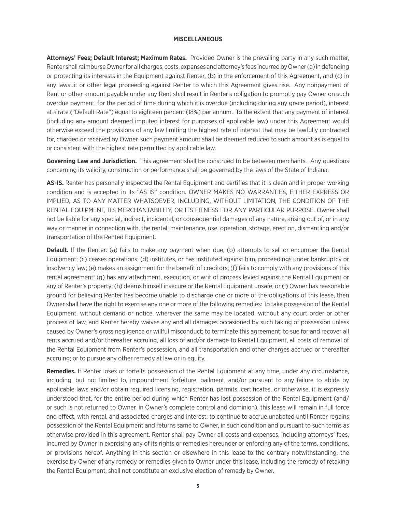#### **MISCELLANEOUS**

**Attorneys' Fees; Default Interest; Maximum Rates.** Provided Owner is the prevailing party in any such matter, Renter shall reimburse Owner for all charges, costs, expenses and attorney's fees incurred by Owner (a) in defending or protecting its interests in the Equipment against Renter, (b) in the enforcement of this Agreement, and (c) in any lawsuit or other legal proceeding against Renter to which this Agreement gives rise. Any nonpayment of Rent or other amount payable under any Rent shall result in Renter's obligation to promptly pay Owner on such overdue payment, for the period of time during which it is overdue (including during any grace period), interest at a rate ("Default Rate") equal to eighteen percent (18%) per annum. To the extent that any payment of interest (including any amount deemed imputed interest for purposes of applicable law) under this Agreement would otherwise exceed the provisions of any law limiting the highest rate of interest that may be lawfully contracted for, charged or received by Owner, such payment amount shall be deemed reduced to such amount as is equal to or consistent with the highest rate permitted by applicable law.

**Governing Law and Jurisdiction.** This agreement shall be construed to be between merchants. Any questions concerning its validity, construction or performance shall be governed by the laws of the State of Indiana.

**AS-IS.** Renter has personally inspected the Rental Equipment and certifies that it is clean and in proper working condition and is accepted in its "AS IS" condition. OWNER MAKES NO WARRANTIES, EITHER EXPRESS OR IMPLIED, AS TO ANY MATTER WHATSOEVER, INCLUDING, WITHOUT LIMITATION, THE CONDITION OF THE RENTAL EQUIPMENT, ITS MERCHANTABILITY, OR ITS FITNESS FOR ANY PARTICULAR PURPOSE. Owner shall not be liable for any special, indirect, incidental, or consequential damages of any nature, arising out of, or in any way or manner in connection with, the rental, maintenance, use, operation, storage, erection, dismantling and/or transportation of the Rented Equipment.

**Default.** If the Renter: (a) fails to make any payment when due; (b) attempts to sell or encumber the Rental Equipment; (c) ceases operations; (d) institutes, or has instituted against him, proceedings under bankruptcy or insolvency law; (e) makes an assignment for the benefit of creditors; (f) fails to comply with any provisions of this rental agreement; (g) has any attachment, execution, or writ of process levied against the Rental Equipment or any of Renter's property; (h) deems himself insecure or the Rental Equipment unsafe; or (i) Owner has reasonable ground for believing Renter has become unable to discharge one or more of the obligations of this lease, then Owner shall have the right to exercise any one or more of the following remedies: To take possession of the Rental Equipment, without demand or notice, wherever the same may be located, without any court order or other process of law, and Renter hereby waives any and all damages occasioned by such taking of possession unless caused by Owner's gross negligence or willful misconduct; to terminate this agreement; to sue for and recover all rents accrued and/or thereafter accruing, all loss of and/or damage to Rental Equipment, all costs of removal of the Rental Equipment from Renter's possession, and all transportation and other charges accrued or thereafter accruing; or to pursue any other remedy at law or in equity.

**Remedies.** If Renter loses or forfeits possession of the Rental Equipment at any time, under any circumstance, including, but not limited to, impoundment forfeiture, bailment, and/or pursuant to any failure to abide by applicable laws and/or obtain required licensing, registration, permits, certificates, or otherwise, it is expressly understood that, for the entire period during which Renter has lost possession of the Rental Equipment (and/ or such is not returned to Owner, in Owner's complete control and dominion), this lease will remain in full force and effect, with rental, and associated charges and interest, to continue to accrue unabated until Renter regains possession of the Rental Equipment and returns same to Owner, in such condition and pursuant to such terms as otherwise provided in this agreement. Renter shall pay Owner all costs and expenses, including attorneys' fees, incurred by Owner in exercising any of its rights or remedies hereunder or enforcing any of the terms, conditions, or provisions hereof. Anything in this section or elsewhere in this lease to the contrary notwithstanding, the exercise by Owner of any remedy or remedies given to Owner under this lease, including the remedy of retaking the Rental Equipment, shall not constitute an exclusive election of remedy by Owner.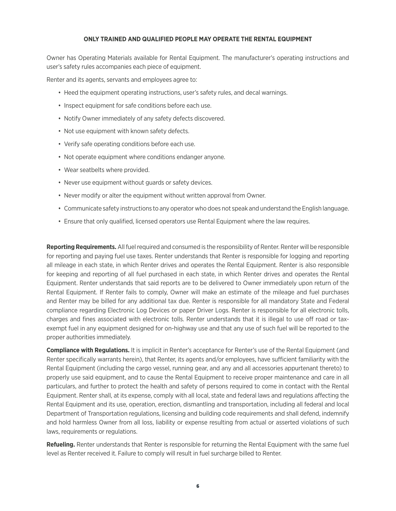#### **ONLY TRAINED AND QUALIFIED PEOPLE MAY OPERATE THE RENTAL EQUIPMENT**

Owner has Operating Materials available for Rental Equipment. The manufacturer's operating instructions and user's safety rules accompanies each piece of equipment.

Renter and its agents, servants and employees agree to:

- Heed the equipment operating instructions, user's safety rules, and decal warnings.
- Inspect equipment for safe conditions before each use.
- Notify Owner immediately of any safety defects discovered.
- Not use equipment with known safety defects.
- Verify safe operating conditions before each use.
- Not operate equipment where conditions endanger anyone.
- Wear seatbelts where provided.
- Never use equipment without guards or safety devices.
- Never modify or alter the equipment without written approval from Owner.
- Communicate safety instructions to any operator who does not speak and understand the English language.
- Ensure that only qualified, licensed operators use Rental Equipment where the law requires.

**Reporting Requirements.** All fuel required and consumed is the responsibility of Renter. Renter will be responsible for reporting and paying fuel use taxes. Renter understands that Renter is responsible for logging and reporting all mileage in each state, in which Renter drives and operates the Rental Equipment. Renter is also responsible for keeping and reporting of all fuel purchased in each state, in which Renter drives and operates the Rental Equipment. Renter understands that said reports are to be delivered to Owner immediately upon return of the Rental Equipment. If Renter fails to comply, Owner will make an estimate of the mileage and fuel purchases and Renter may be billed for any additional tax due. Renter is responsible for all mandatory State and Federal compliance regarding Electronic Log Devices or paper Driver Logs. Renter is responsible for all electronic tolls, charges and fines associated with electronic tolls. Renter understands that it is illegal to use off road or taxexempt fuel in any equipment designed for on-highway use and that any use of such fuel will be reported to the proper authorities immediately.

**Compliance with Regulations.** It is implicit in Renter's acceptance for Renter's use of the Rental Equipment (and Renter specifically warrants herein), that Renter, its agents and/or employees, have sufficient familiarity with the Rental Equipment (including the cargo vessel, running gear, and any and all accessories appurtenant thereto) to properly use said equipment, and to cause the Rental Equipment to receive proper maintenance and care in all particulars, and further to protect the health and safety of persons required to come in contact with the Rental Equipment. Renter shall, at its expense, comply with all local, state and federal laws and regulations affecting the Rental Equipment and its use, operation, erection, dismantling and transportation, including all federal and local Department of Transportation regulations, licensing and building code requirements and shall defend, indemnify and hold harmless Owner from all loss, liability or expense resulting from actual or asserted violations of such laws, requirements or regulations.

**Refueling.** Renter understands that Renter is responsible for returning the Rental Equipment with the same fuel level as Renter received it. Failure to comply will result in fuel surcharge billed to Renter.